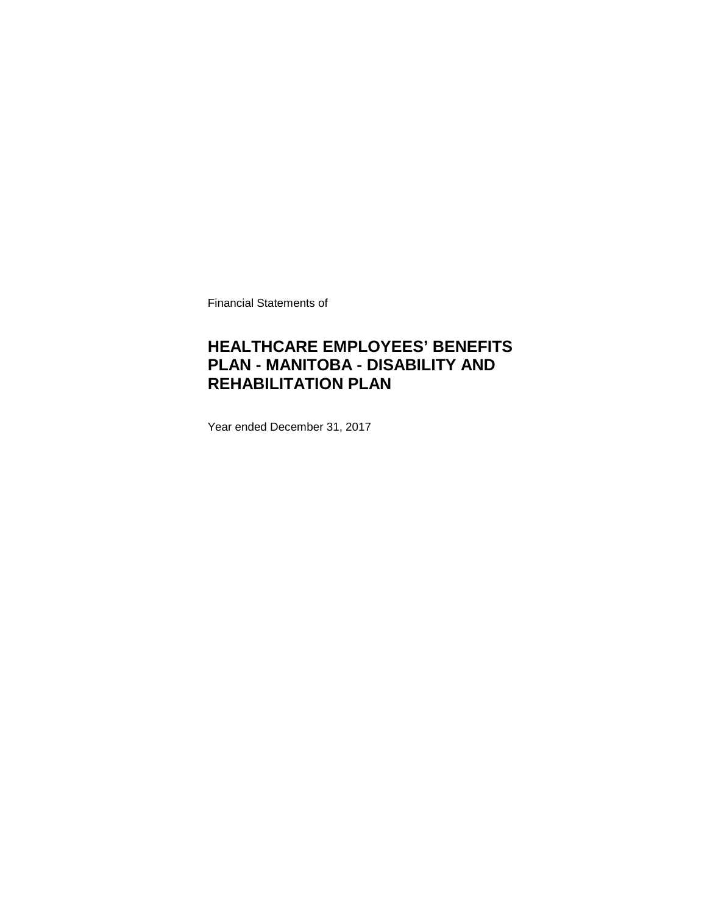Financial Statements of

### **HEALTHCARE EMPLOYEES' BENEFITS PLAN - MANITOBA - DISABILITY AND REHABILITATION PLAN**

Year ended December 31, 2017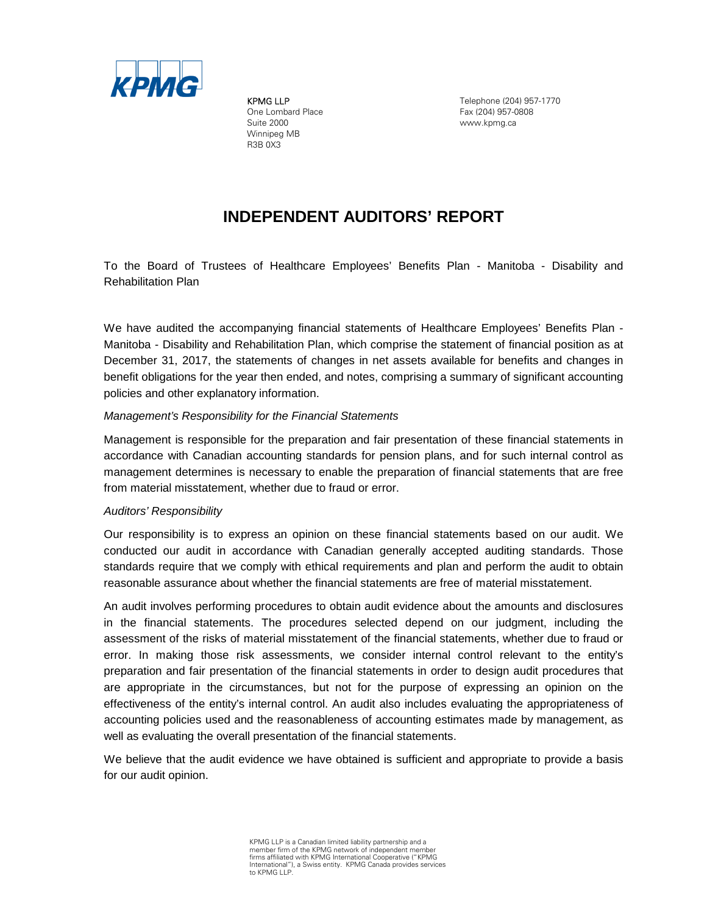

KPMG LLP One Lombard Place Suite 2000 Winnipeg MB R3B 0X3

Telephone (204) 957-1770 Fax (204) 957-0808 www.kpmg.ca

### **INDEPENDENT AUDITORS' REPORT**

To the Board of Trustees of Healthcare Employees' Benefits Plan - Manitoba - Disability and Rehabilitation Plan

We have audited the accompanying financial statements of Healthcare Employees' Benefits Plan - Manitoba - Disability and Rehabilitation Plan, which comprise the statement of financial position as at December 31, 2017, the statements of changes in net assets available for benefits and changes in benefit obligations for the year then ended, and notes, comprising a summary of significant accounting policies and other explanatory information.

#### *Management's Responsibility for the Financial Statements*

Management is responsible for the preparation and fair presentation of these financial statements in accordance with Canadian accounting standards for pension plans, and for such internal control as management determines is necessary to enable the preparation of financial statements that are free from material misstatement, whether due to fraud or error.

### *Auditors' Responsibility*

Our responsibility is to express an opinion on these financial statements based on our audit. We conducted our audit in accordance with Canadian generally accepted auditing standards. Those standards require that we comply with ethical requirements and plan and perform the audit to obtain reasonable assurance about whether the financial statements are free of material misstatement.

An audit involves performing procedures to obtain audit evidence about the amounts and disclosures in the financial statements. The procedures selected depend on our judgment, including the assessment of the risks of material misstatement of the financial statements, whether due to fraud or error. In making those risk assessments, we consider internal control relevant to the entity's preparation and fair presentation of the financial statements in order to design audit procedures that are appropriate in the circumstances, but not for the purpose of expressing an opinion on the effectiveness of the entity's internal control. An audit also includes evaluating the appropriateness of accounting policies used and the reasonableness of accounting estimates made by management, as well as evaluating the overall presentation of the financial statements.

We believe that the audit evidence we have obtained is sufficient and appropriate to provide a basis for our audit opinion.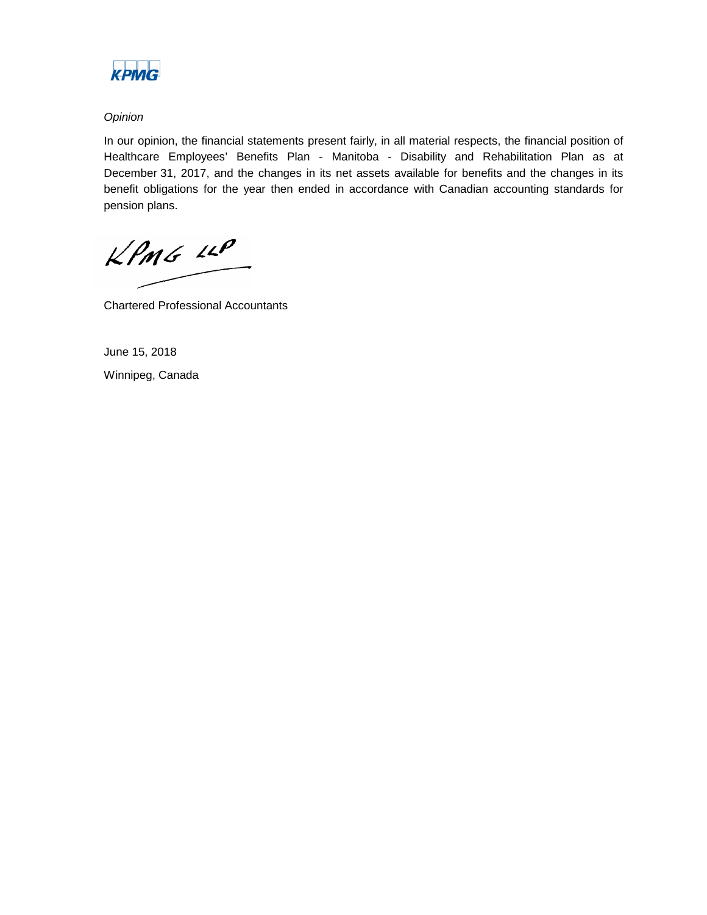

### *Opinion*

In our opinion, the financial statements present fairly, in all material respects, the financial position of Healthcare Employees' Benefits Plan - Manitoba - Disability and Rehabilitation Plan as at December 31, 2017, and the changes in its net assets available for benefits and the changes in its benefit obligations for the year then ended in accordance with Canadian accounting standards for pension plans.

KPMG LLP

Chartered Professional Accountants

June 15, 2018 Winnipeg, Canada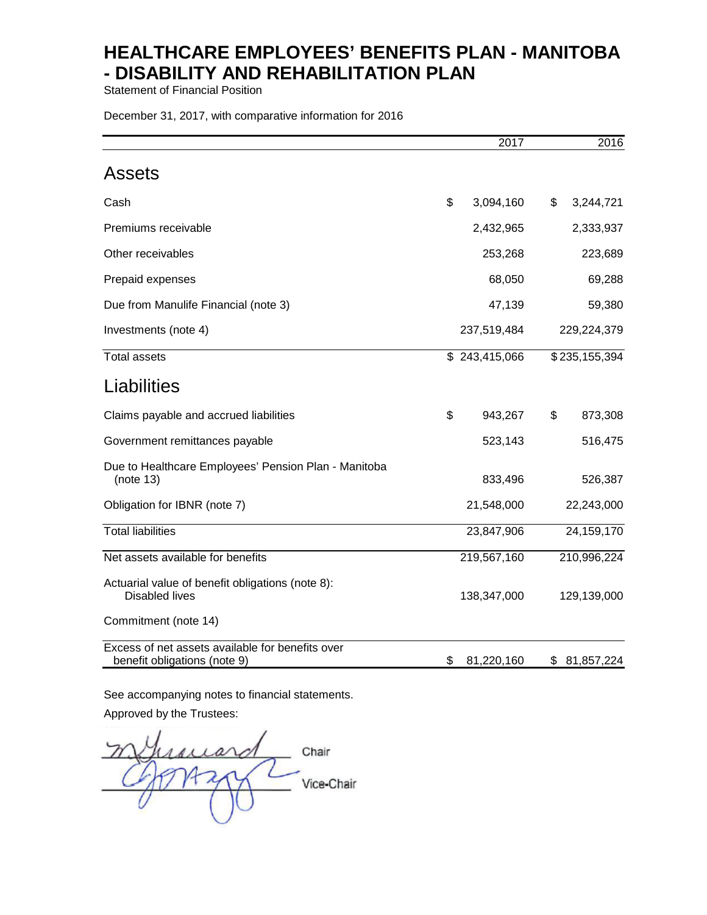Statement of Financial Position

December 31, 2017, with comparative information for 2016

|                                                                                  | 2017             | 2016             |
|----------------------------------------------------------------------------------|------------------|------------------|
| <b>Assets</b>                                                                    |                  |                  |
| Cash                                                                             | \$<br>3,094,160  | \$<br>3,244,721  |
| Premiums receivable                                                              | 2,432,965        | 2,333,937        |
| Other receivables                                                                | 253,268          | 223,689          |
| Prepaid expenses                                                                 | 68,050           | 69,288           |
| Due from Manulife Financial (note 3)                                             | 47,139           | 59,380           |
| Investments (note 4)                                                             | 237,519,484      | 229,224,379      |
| <b>Total assets</b>                                                              | \$243,415,066    | \$235,155,394    |
| Liabilities                                                                      |                  |                  |
| Claims payable and accrued liabilities                                           | \$<br>943,267    | \$<br>873,308    |
| Government remittances payable                                                   | 523,143          | 516,475          |
| Due to Healthcare Employees' Pension Plan - Manitoba<br>(note 13)                | 833,496          | 526,387          |
| Obligation for IBNR (note 7)                                                     | 21,548,000       | 22,243,000       |
| <b>Total liabilities</b>                                                         | 23,847,906       | 24, 159, 170     |
| Net assets available for benefits                                                | 219,567,160      | 210,996,224      |
| Actuarial value of benefit obligations (note 8):<br><b>Disabled lives</b>        | 138,347,000      | 129,139,000      |
| Commitment (note 14)                                                             |                  |                  |
| Excess of net assets available for benefits over<br>benefit obligations (note 9) | \$<br>81,220,160 | \$<br>81,857,224 |

See accompanying notes to financial statements.

Approved by the Trustees:

iard Chair Vice-Chair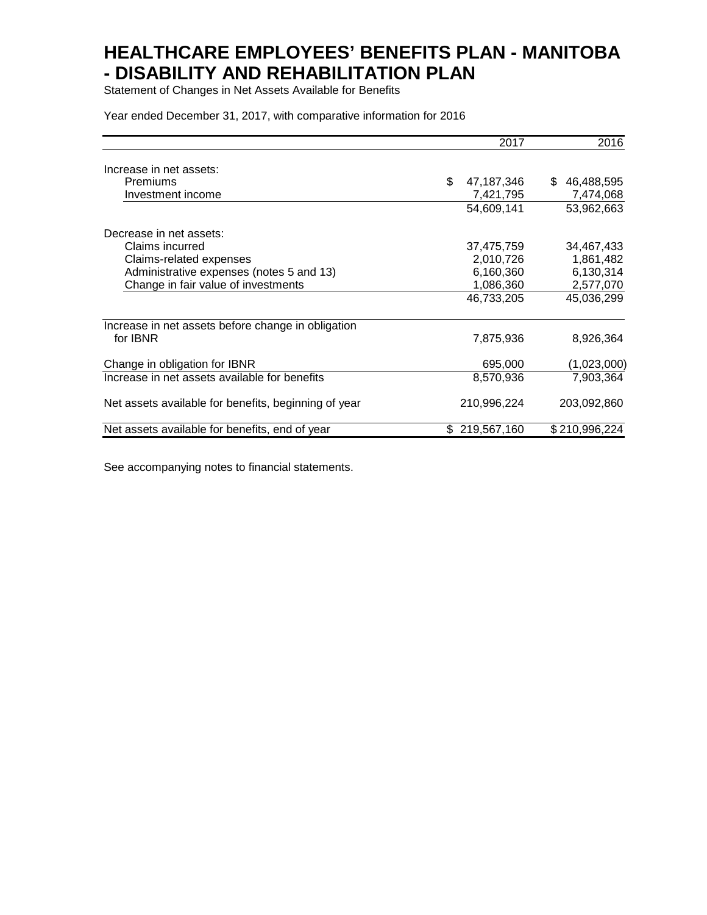Statement of Changes in Net Assets Available for Benefits

Year ended December 31, 2017, with comparative information for 2016

|                                                      |     | 2017        | 2016             |
|------------------------------------------------------|-----|-------------|------------------|
| Increase in net assets:                              |     |             |                  |
| Premiums                                             | \$  | 47,187,346  | \$<br>46,488,595 |
| Investment income                                    |     | 7,421,795   | 7,474,068        |
|                                                      |     | 54,609,141  | 53,962,663       |
| Decrease in net assets:                              |     |             |                  |
| Claims incurred                                      |     | 37,475,759  | 34,467,433       |
| Claims-related expenses                              |     | 2,010,726   | 1,861,482        |
| Administrative expenses (notes 5 and 13)             |     | 6,160,360   | 6,130,314        |
| Change in fair value of investments                  |     | 1,086,360   | 2,577,070        |
|                                                      |     | 46,733,205  | 45,036,299       |
| Increase in net assets before change in obligation   |     |             |                  |
| for IBNR                                             |     | 7,875,936   | 8,926,364        |
| Change in obligation for IBNR                        |     | 695,000     | (1,023,000)      |
| Increase in net assets available for benefits        |     | 8,570,936   | 7,903,364        |
| Net assets available for benefits, beginning of year |     | 210,996,224 | 203,092,860      |
| Net assets available for benefits, end of year       | \$. | 219,567,160 | \$210,996,224    |

See accompanying notes to financial statements.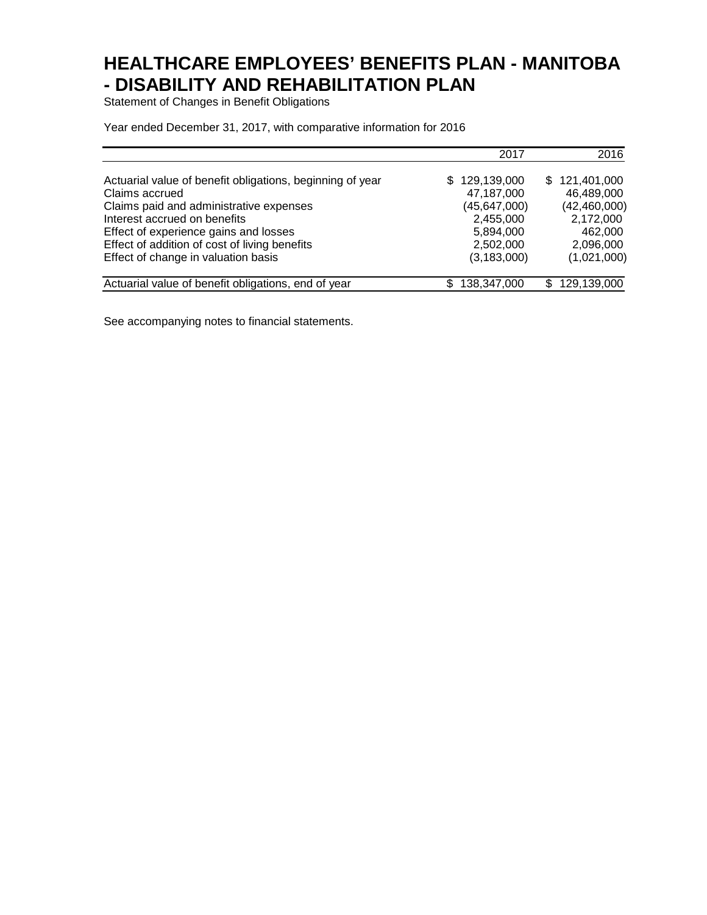Statement of Changes in Benefit Obligations

Year ended December 31, 2017, with comparative information for 2016

|                                                           | 2017               | 2016           |
|-----------------------------------------------------------|--------------------|----------------|
| Actuarial value of benefit obligations, beginning of year | \$129,139,000      | \$121,401,000  |
| Claims accrued                                            | 47,187,000         | 46,489,000     |
| Claims paid and administrative expenses                   | (45, 647, 000)     | (42, 460, 000) |
| Interest accrued on benefits                              | 2,455,000          | 2,172,000      |
| Effect of experience gains and losses                     | 5,894,000          | 462,000        |
| Effect of addition of cost of living benefits             | 2,502,000          | 2,096,000      |
| Effect of change in valuation basis                       | (3, 183, 000)      | (1,021,000)    |
| Actuarial value of benefit obligations, end of year       | 138,347,000<br>\$. | \$129,139,000  |

See accompanying notes to financial statements.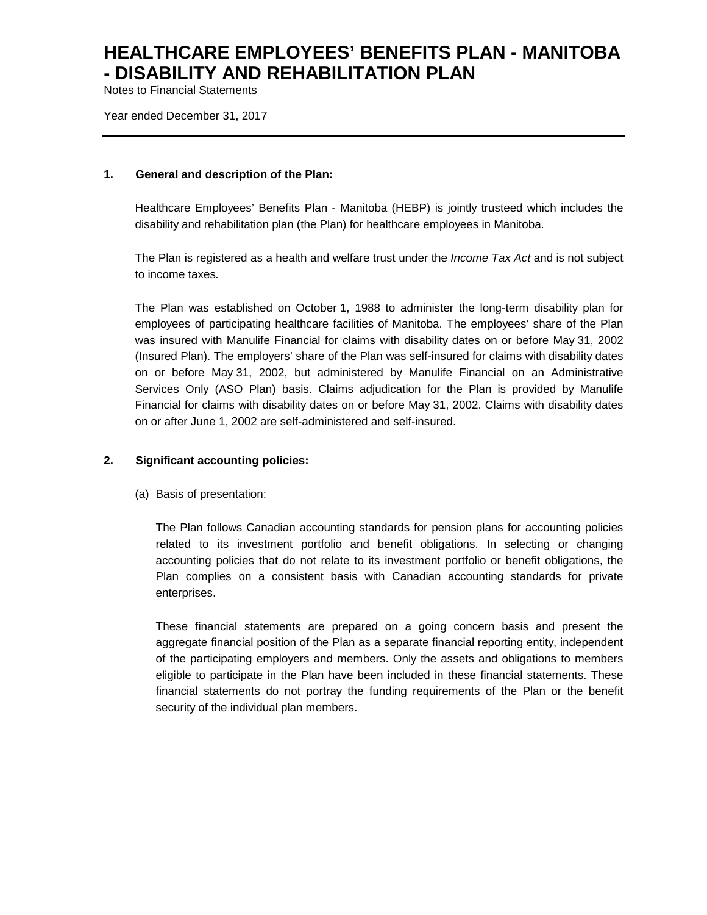Notes to Financial Statements

Year ended December 31, 2017

#### **1. General and description of the Plan:**

Healthcare Employees' Benefits Plan - Manitoba (HEBP) is jointly trusteed which includes the disability and rehabilitation plan (the Plan) for healthcare employees in Manitoba.

The Plan is registered as a health and welfare trust under the *Income Tax Act* and is not subject to income taxes*.*

The Plan was established on October 1, 1988 to administer the long-term disability plan for employees of participating healthcare facilities of Manitoba. The employees' share of the Plan was insured with Manulife Financial for claims with disability dates on or before May 31, 2002 (Insured Plan). The employers' share of the Plan was self-insured for claims with disability dates on or before May 31, 2002, but administered by Manulife Financial on an Administrative Services Only (ASO Plan) basis. Claims adjudication for the Plan is provided by Manulife Financial for claims with disability dates on or before May 31, 2002. Claims with disability dates on or after June 1, 2002 are self-administered and self-insured.

### **2. Significant accounting policies:**

(a) Basis of presentation:

The Plan follows Canadian accounting standards for pension plans for accounting policies related to its investment portfolio and benefit obligations. In selecting or changing accounting policies that do not relate to its investment portfolio or benefit obligations, the Plan complies on a consistent basis with Canadian accounting standards for private enterprises.

These financial statements are prepared on a going concern basis and present the aggregate financial position of the Plan as a separate financial reporting entity, independent of the participating employers and members. Only the assets and obligations to members eligible to participate in the Plan have been included in these financial statements. These financial statements do not portray the funding requirements of the Plan or the benefit security of the individual plan members.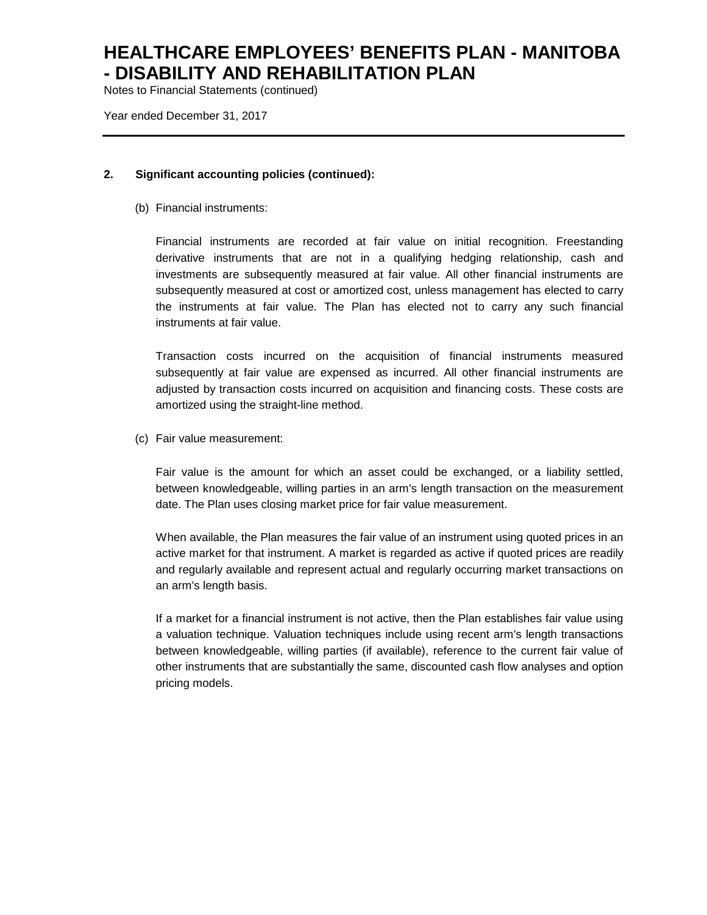Notes to Financial Statements (continued)

Year ended December 31, 2017

#### **2. Significant accounting policies (continued):**

(b) Financial instruments:

Financial instruments are recorded at fair value on initial recognition. Freestanding derivative instruments that are not in a qualifying hedging relationship, cash and investments are subsequently measured at fair value. All other financial instruments are subsequently measured at cost or amortized cost, unless management has elected to carry the instruments at fair value. The Plan has elected not to carry any such financial instruments at fair value.

Transaction costs incurred on the acquisition of financial instruments measured subsequently at fair value are expensed as incurred. All other financial instruments are adjusted by transaction costs incurred on acquisition and financing costs. These costs are amortized using the straight-line method.

(c) Fair value measurement:

Fair value is the amount for which an asset could be exchanged, or a liability settled, between knowledgeable, willing parties in an arm's length transaction on the measurement date. The Plan uses closing market price for fair value measurement.

When available, the Plan measures the fair value of an instrument using quoted prices in an active market for that instrument. A market is regarded as active if quoted prices are readily and regularly available and represent actual and regularly occurring market transactions on an arm's length basis.

If a market for a financial instrument is not active, then the Plan establishes fair value using a valuation technique. Valuation techniques include using recent arm's length transactions between knowledgeable, willing parties (if available), reference to the current fair value of other instruments that are substantially the same, discounted cash flow analyses and option pricing models.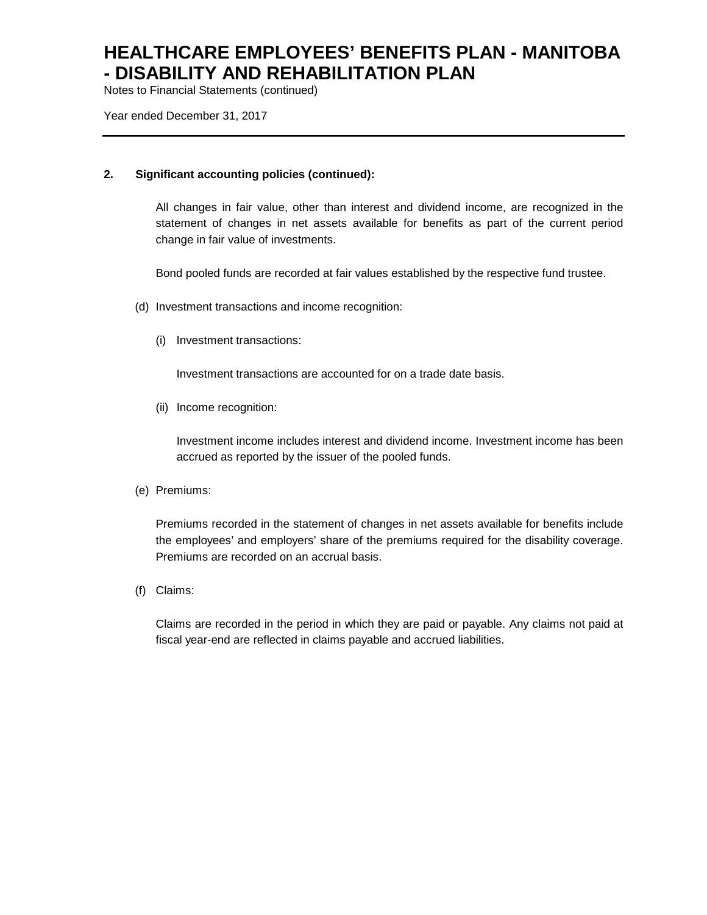Notes to Financial Statements (continued)

Year ended December 31, 2017

### **2. Significant accounting policies (continued):**

All changes in fair value, other than interest and dividend income, are recognized in the statement of changes in net assets available for benefits as part of the current period change in fair value of investments.

Bond pooled funds are recorded at fair values established by the respective fund trustee.

- (d) Investment transactions and income recognition:
	- (i) Investment transactions:

Investment transactions are accounted for on a trade date basis.

(ii) Income recognition:

Investment income includes interest and dividend income. Investment income has been accrued as reported by the issuer of the pooled funds.

(e) Premiums:

Premiums recorded in the statement of changes in net assets available for benefits include the employees' and employers' share of the premiums required for the disability coverage. Premiums are recorded on an accrual basis.

(f) Claims:

Claims are recorded in the period in which they are paid or payable. Any claims not paid at fiscal year-end are reflected in claims payable and accrued liabilities.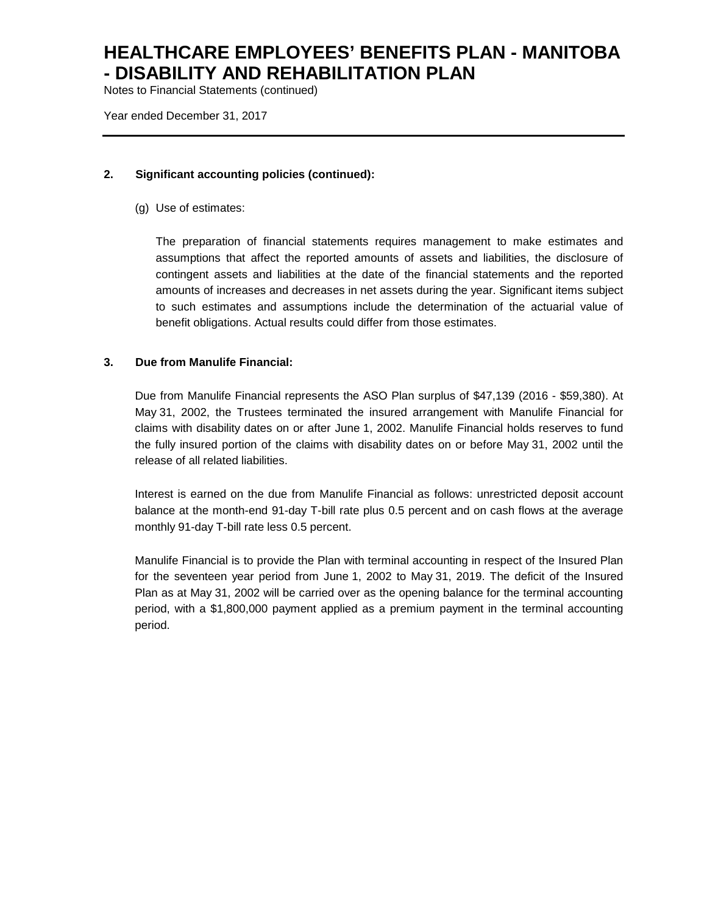Notes to Financial Statements (continued)

Year ended December 31, 2017

#### **2. Significant accounting policies (continued):**

(g) Use of estimates:

The preparation of financial statements requires management to make estimates and assumptions that affect the reported amounts of assets and liabilities, the disclosure of contingent assets and liabilities at the date of the financial statements and the reported amounts of increases and decreases in net assets during the year. Significant items subject to such estimates and assumptions include the determination of the actuarial value of benefit obligations. Actual results could differ from those estimates.

#### **3. Due from Manulife Financial:**

Due from Manulife Financial represents the ASO Plan surplus of \$47,139 (2016 - \$59,380). At May 31, 2002, the Trustees terminated the insured arrangement with Manulife Financial for claims with disability dates on or after June 1, 2002. Manulife Financial holds reserves to fund the fully insured portion of the claims with disability dates on or before May 31, 2002 until the release of all related liabilities.

Interest is earned on the due from Manulife Financial as follows: unrestricted deposit account balance at the month-end 91-day T-bill rate plus 0.5 percent and on cash flows at the average monthly 91-day T-bill rate less 0.5 percent.

Manulife Financial is to provide the Plan with terminal accounting in respect of the Insured Plan for the seventeen year period from June 1, 2002 to May 31, 2019. The deficit of the Insured Plan as at May 31, 2002 will be carried over as the opening balance for the terminal accounting period, with a \$1,800,000 payment applied as a premium payment in the terminal accounting period.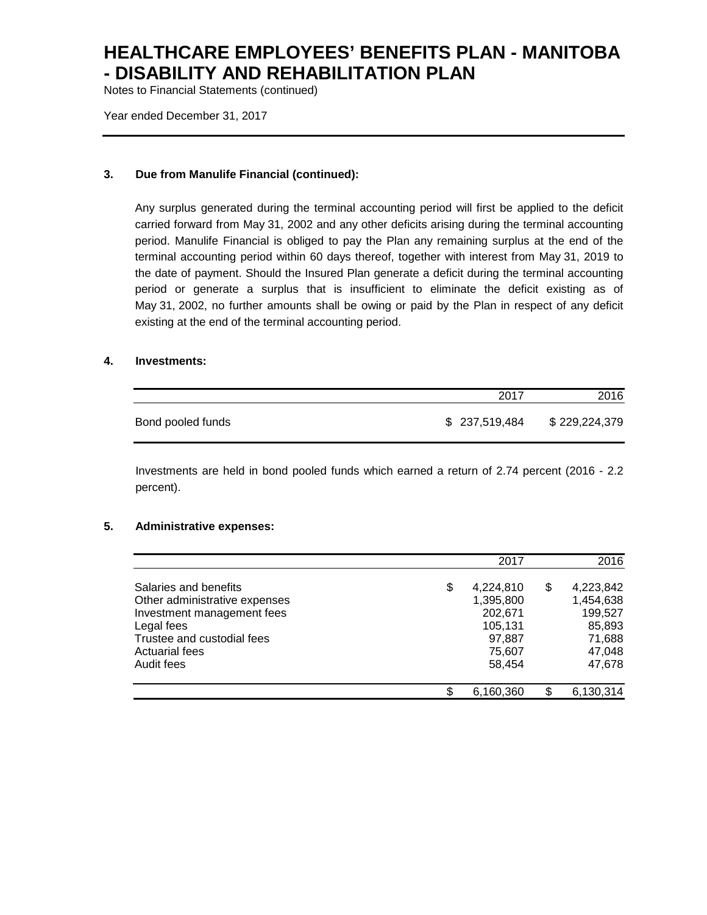Notes to Financial Statements (continued)

Year ended December 31, 2017

### **3. Due from Manulife Financial (continued):**

Any surplus generated during the terminal accounting period will first be applied to the deficit carried forward from May 31, 2002 and any other deficits arising during the terminal accounting period. Manulife Financial is obliged to pay the Plan any remaining surplus at the end of the terminal accounting period within 60 days thereof, together with interest from May 31, 2019 to the date of payment. Should the Insured Plan generate a deficit during the terminal accounting period or generate a surplus that is insufficient to eliminate the deficit existing as of May 31, 2002, no further amounts shall be owing or paid by the Plan in respect of any deficit existing at the end of the terminal accounting period.

#### **4. Investments:**

|                   | 2017          | 2016          |
|-------------------|---------------|---------------|
| Bond pooled funds | \$237,519,484 | \$229,224,379 |

Investments are held in bond pooled funds which earned a return of 2.74 percent (2016 - 2.2 percent).

#### **5. Administrative expenses:**

|                               | 2017            |   | 2016      |
|-------------------------------|-----------------|---|-----------|
|                               |                 |   |           |
| Salaries and benefits         | \$<br>4,224,810 | S | 4,223,842 |
| Other administrative expenses | 1,395,800       |   | 1,454,638 |
| Investment management fees    | 202,671         |   | 199,527   |
| Legal fees                    | 105,131         |   | 85,893    |
| Trustee and custodial fees    | 97,887          |   | 71,688    |
| <b>Actuarial fees</b>         | 75,607          |   | 47,048    |
| Audit fees                    | 58,454          |   | 47,678    |
|                               |                 |   |           |
|                               | \$<br>6,160,360 |   | 6,130,314 |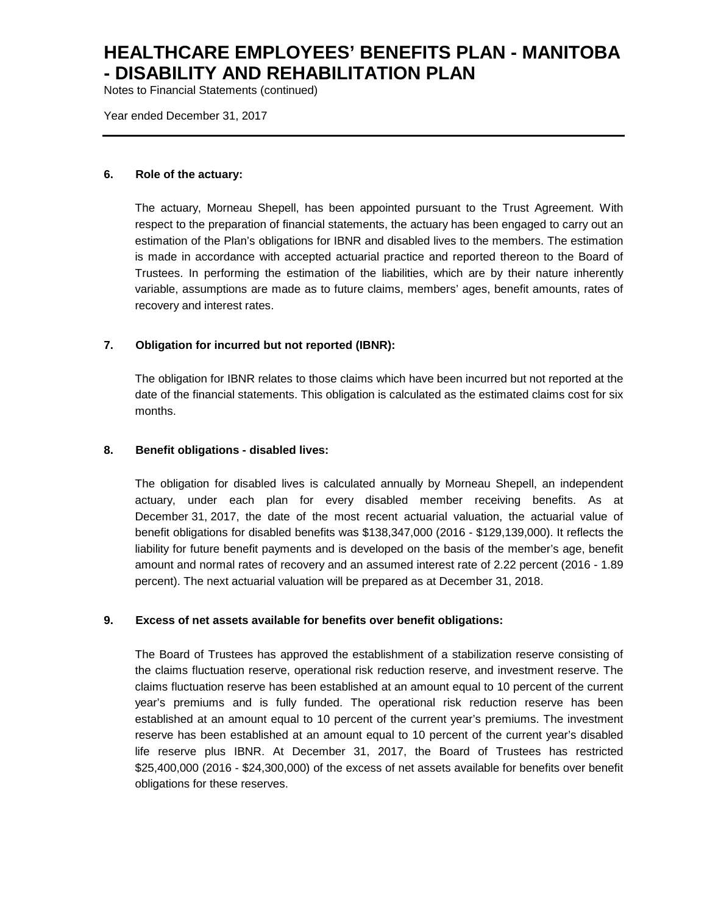Notes to Financial Statements (continued)

Year ended December 31, 2017

#### **6. Role of the actuary:**

The actuary, Morneau Shepell, has been appointed pursuant to the Trust Agreement. With respect to the preparation of financial statements, the actuary has been engaged to carry out an estimation of the Plan's obligations for IBNR and disabled lives to the members. The estimation is made in accordance with accepted actuarial practice and reported thereon to the Board of Trustees. In performing the estimation of the liabilities, which are by their nature inherently variable, assumptions are made as to future claims, members' ages, benefit amounts, rates of recovery and interest rates.

#### **7. Obligation for incurred but not reported (IBNR):**

The obligation for IBNR relates to those claims which have been incurred but not reported at the date of the financial statements. This obligation is calculated as the estimated claims cost for six months.

#### **8. Benefit obligations - disabled lives:**

The obligation for disabled lives is calculated annually by Morneau Shepell, an independent actuary, under each plan for every disabled member receiving benefits. As at December 31, 2017, the date of the most recent actuarial valuation, the actuarial value of benefit obligations for disabled benefits was \$138,347,000 (2016 - \$129,139,000). It reflects the liability for future benefit payments and is developed on the basis of the member's age, benefit amount and normal rates of recovery and an assumed interest rate of 2.22 percent (2016 - 1.89 percent). The next actuarial valuation will be prepared as at December 31, 2018.

#### **9. Excess of net assets available for benefits over benefit obligations:**

The Board of Trustees has approved the establishment of a stabilization reserve consisting of the claims fluctuation reserve, operational risk reduction reserve, and investment reserve. The claims fluctuation reserve has been established at an amount equal to 10 percent of the current year's premiums and is fully funded. The operational risk reduction reserve has been established at an amount equal to 10 percent of the current year's premiums. The investment reserve has been established at an amount equal to 10 percent of the current year's disabled life reserve plus IBNR. At December 31, 2017, the Board of Trustees has restricted \$25,400,000 (2016 - \$24,300,000) of the excess of net assets available for benefits over benefit obligations for these reserves.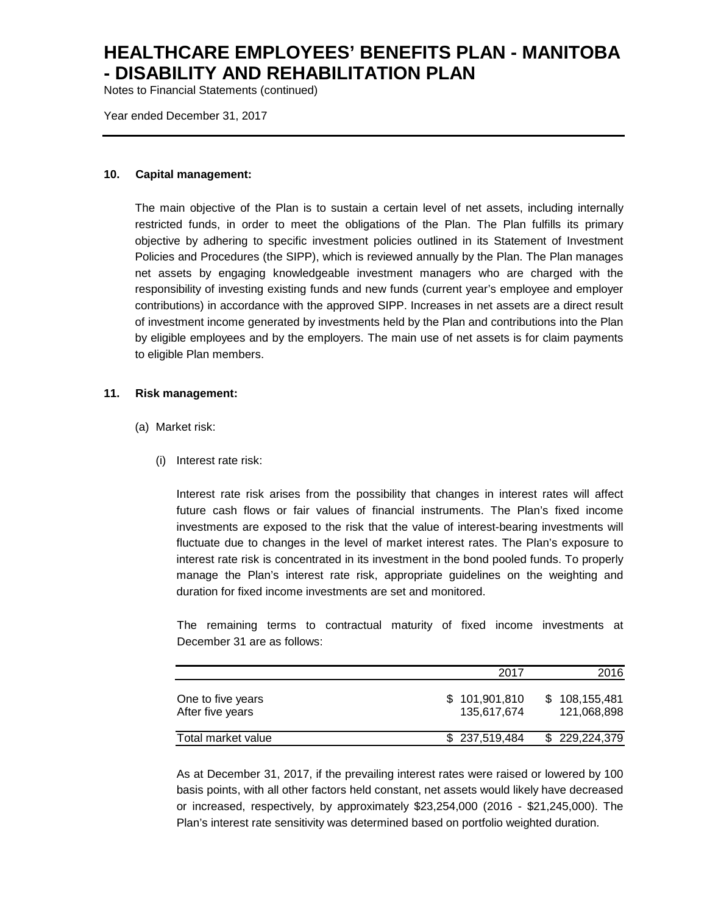Notes to Financial Statements (continued)

Year ended December 31, 2017

#### **10. Capital management:**

The main objective of the Plan is to sustain a certain level of net assets, including internally restricted funds, in order to meet the obligations of the Plan. The Plan fulfills its primary objective by adhering to specific investment policies outlined in its Statement of Investment Policies and Procedures (the SIPP), which is reviewed annually by the Plan. The Plan manages net assets by engaging knowledgeable investment managers who are charged with the responsibility of investing existing funds and new funds (current year's employee and employer contributions) in accordance with the approved SIPP. Increases in net assets are a direct result of investment income generated by investments held by the Plan and contributions into the Plan by eligible employees and by the employers. The main use of net assets is for claim payments to eligible Plan members.

#### **11. Risk management:**

- (a) Market risk:
	- (i) Interest rate risk:

Interest rate risk arises from the possibility that changes in interest rates will affect future cash flows or fair values of financial instruments. The Plan's fixed income investments are exposed to the risk that the value of interest-bearing investments will fluctuate due to changes in the level of market interest rates. The Plan's exposure to interest rate risk is concentrated in its investment in the bond pooled funds. To properly manage the Plan's interest rate risk, appropriate guidelines on the weighting and duration for fixed income investments are set and monitored.

The remaining terms to contractual maturity of fixed income investments at December 31 are as follows:

|                                       | 2017                         | 2016                         |
|---------------------------------------|------------------------------|------------------------------|
| One to five years<br>After five years | \$101,901,810<br>135.617.674 | \$108,155,481<br>121.068.898 |
| Total market value                    | \$237,519,484                | \$229,224,379                |

As at December 31, 2017, if the prevailing interest rates were raised or lowered by 100 basis points, with all other factors held constant, net assets would likely have decreased or increased, respectively, by approximately \$23,254,000 (2016 - \$21,245,000). The Plan's interest rate sensitivity was determined based on portfolio weighted duration.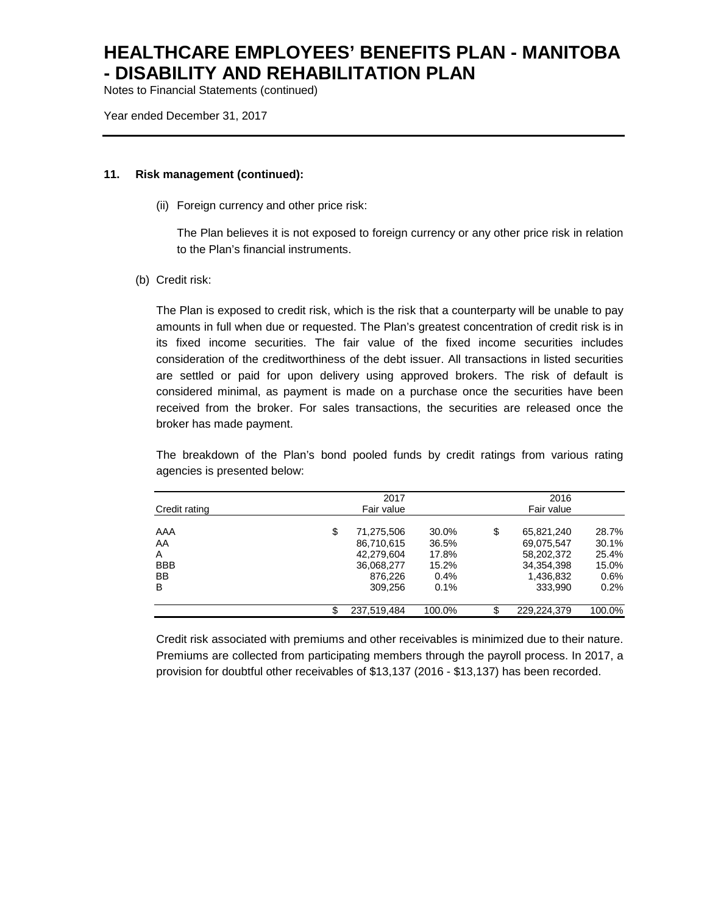Notes to Financial Statements (continued)

Year ended December 31, 2017

#### **11. Risk management (continued):**

(ii) Foreign currency and other price risk:

The Plan believes it is not exposed to foreign currency or any other price risk in relation to the Plan's financial instruments.

(b) Credit risk:

The Plan is exposed to credit risk, which is the risk that a counterparty will be unable to pay amounts in full when due or requested. The Plan's greatest concentration of credit risk is in its fixed income securities. The fair value of the fixed income securities includes consideration of the creditworthiness of the debt issuer. All transactions in listed securities are settled or paid for upon delivery using approved brokers. The risk of default is considered minimal, as payment is made on a purchase once the securities have been received from the broker. For sales transactions, the securities are released once the broker has made payment.

The breakdown of the Plan's bond pooled funds by credit ratings from various rating agencies is presented below:

|               | 2017             |        |    | 2016        |        |
|---------------|------------------|--------|----|-------------|--------|
| Credit rating | Fair value       |        |    | Fair value  |        |
| AAA           | \$<br>71,275,506 | 30.0%  | \$ | 65.821.240  | 28.7%  |
| AA            | 86.710.615       | 36.5%  |    | 69.075.547  | 30.1%  |
| A             | 42,279,604       | 17.8%  |    | 58,202,372  | 25.4%  |
| <b>BBB</b>    | 36,068,277       | 15.2%  |    | 34,354,398  | 15.0%  |
| <b>BB</b>     | 876.226          | 0.4%   |    | 1,436,832   | 0.6%   |
| B             | 309.256          | 0.1%   |    | 333.990     | 0.2%   |
|               | 237,519,484      | 100.0% | S  | 229.224.379 | 100.0% |

Credit risk associated with premiums and other receivables is minimized due to their nature. Premiums are collected from participating members through the payroll process. In 2017, a provision for doubtful other receivables of \$13,137 (2016 - \$13,137) has been recorded.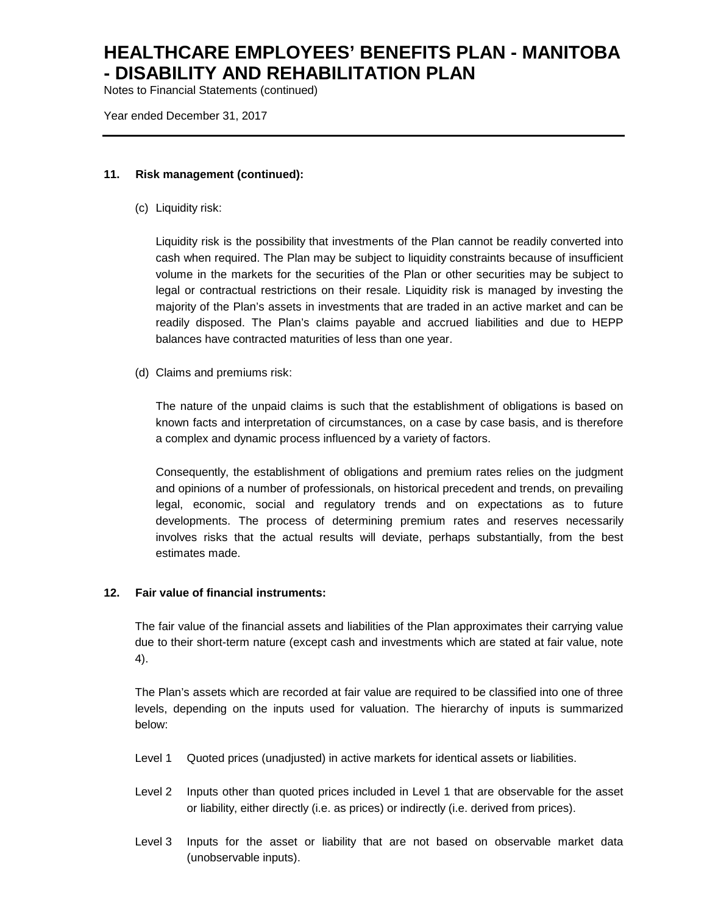Notes to Financial Statements (continued)

Year ended December 31, 2017

### **11. Risk management (continued):**

(c) Liquidity risk:

Liquidity risk is the possibility that investments of the Plan cannot be readily converted into cash when required. The Plan may be subject to liquidity constraints because of insufficient volume in the markets for the securities of the Plan or other securities may be subject to legal or contractual restrictions on their resale. Liquidity risk is managed by investing the majority of the Plan's assets in investments that are traded in an active market and can be readily disposed. The Plan's claims payable and accrued liabilities and due to HEPP balances have contracted maturities of less than one year.

(d) Claims and premiums risk:

The nature of the unpaid claims is such that the establishment of obligations is based on known facts and interpretation of circumstances, on a case by case basis, and is therefore a complex and dynamic process influenced by a variety of factors.

Consequently, the establishment of obligations and premium rates relies on the judgment and opinions of a number of professionals, on historical precedent and trends, on prevailing legal, economic, social and regulatory trends and on expectations as to future developments. The process of determining premium rates and reserves necessarily involves risks that the actual results will deviate, perhaps substantially, from the best estimates made.

### **12. Fair value of financial instruments:**

The fair value of the financial assets and liabilities of the Plan approximates their carrying value due to their short-term nature (except cash and investments which are stated at fair value, note 4).

The Plan's assets which are recorded at fair value are required to be classified into one of three levels, depending on the inputs used for valuation. The hierarchy of inputs is summarized below:

- Level 1 Quoted prices (unadjusted) in active markets for identical assets or liabilities.
- Level 2 Inputs other than quoted prices included in Level 1 that are observable for the asset or liability, either directly (i.e. as prices) or indirectly (i.e. derived from prices).
- Level 3 Inputs for the asset or liability that are not based on observable market data (unobservable inputs).